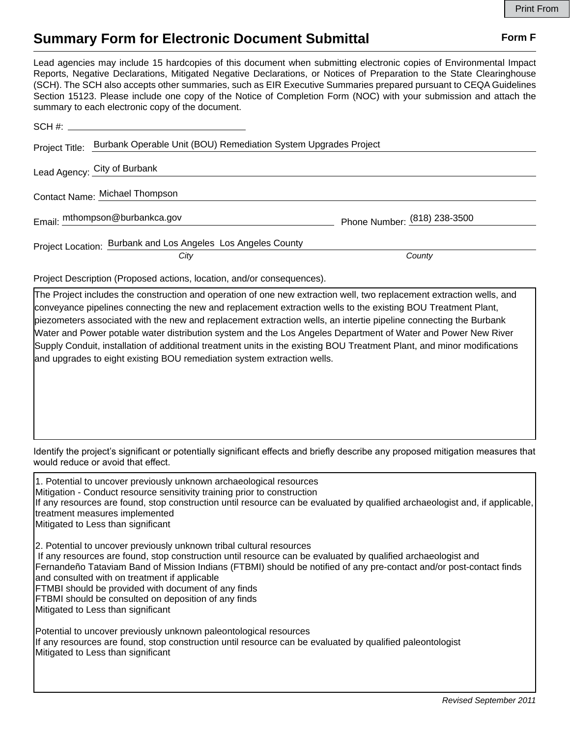## **Summary Form for Electronic Document Submittal Form F Form F**

Lead agencies may include 15 hardcopies of this document when submitting electronic copies of Environmental Impact Reports, Negative Declarations, Mitigated Negative Declarations, or Notices of Preparation to the State Clearinghouse (SCH). The SCH also accepts other summaries, such as EIR Executive Summaries prepared pursuant to CEQA Guidelines Section 15123. Please include one copy of the Notice of Completion Form (NOC) with your submission and attach the summary to each electronic copy of the document.

| Project Title: | Burbank Operable Unit (BOU) Remediation System Upgrades Project     |                              |
|----------------|---------------------------------------------------------------------|------------------------------|
|                | Lead Agency: City of Burbank                                        |                              |
|                | Contact Name: Michael Thompson                                      |                              |
|                | Email: mthompson@burbankca.gov                                      | Phone Number: (818) 238-3500 |
|                | Project Location: <b>Burbank and Los Angeles Los Angeles County</b> |                              |
|                | City                                                                | County                       |

Project Description (Proposed actions, location, and/or consequences).

The Project includes the construction and operation of one new extraction well, two replacement extraction wells, and conveyance pipelines connecting the new and replacement extraction wells to the existing BOU Treatment Plant, piezometers associated with the new and replacement extraction wells, an intertie pipeline connecting the Burbank Water and Power potable water distribution system and the Los Angeles Department of Water and Power New River Supply Conduit, installation of additional treatment units in the existing BOU Treatment Plant, and minor modifications and upgrades to eight existing BOU remediation system extraction wells.

Identify the project's significant or potentially significant effects and briefly describe any proposed mitigation measures that would reduce or avoid that effect.

1. Potential to uncover previously unknown archaeological resources Mitigation - Conduct resource sensitivity training prior to construction If any resources are found, stop construction until resource can be evaluated by qualified archaeologist and, if applicable, treatment measures implemented Mitigated to Less than significant 2. Potential to uncover previously unknown tribal cultural resources If any resources are found, stop construction until resource can be evaluated by qualified archaeologist and Fernandeño Tataviam Band of Mission Indians (FTBMI) should be notified of any pre-contact and/or post-contact finds and consulted with on treatment if applicable FTMBI should be provided with document of any finds FTBMI should be consulted on deposition of any finds Mitigated to Less than significant Potential to uncover previously unknown paleontological resources If any resources are found, stop construction until resource can be evaluated by qualified paleontologist Mitigated to Less than significant